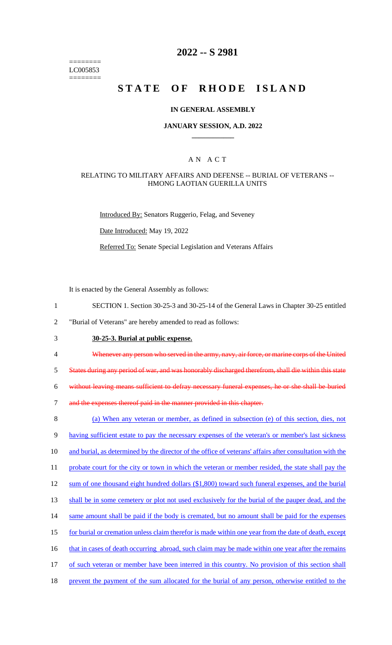======== LC005853 ========

# **2022 -- S 2981**

# **STATE OF RHODE ISLAND**

## **IN GENERAL ASSEMBLY**

## **JANUARY SESSION, A.D. 2022 \_\_\_\_\_\_\_\_\_\_\_\_**

## A N A C T

### RELATING TO MILITARY AFFAIRS AND DEFENSE -- BURIAL OF VETERANS -- HMONG LAOTIAN GUERILLA UNITS

Introduced By: Senators Ruggerio, Felag, and Seveney

Date Introduced: May 19, 2022

Referred To: Senate Special Legislation and Veterans Affairs

It is enacted by the General Assembly as follows:

- 1 SECTION 1. Section 30-25-3 and 30-25-14 of the General Laws in Chapter 30-25 entitled
- 2 "Burial of Veterans" are hereby amended to read as follows:
- 3 **30-25-3. Burial at public expense.**
- 4 Whenever any person who served in the army, navy, air force, or marine corps of the United

5 States during any period of war, and was honorably discharged therefrom, shall die within this state

6 without leaving means sufficient to defray necessary funeral expenses, he or she shall be buried

7 and the expenses thereof paid in the manner provided in this chapter.

8 (a) When any veteran or member, as defined in subsection (e) of this section, dies, not 9 having sufficient estate to pay the necessary expenses of the veteran's or member's last sickness 10 and burial, as determined by the director of the office of veterans' affairs after consultation with the 11 probate court for the city or town in which the veteran or member resided, the state shall pay the 12 sum of one thousand eight hundred dollars (\$1,800) toward such funeral expenses, and the burial 13 shall be in some cemetery or plot not used exclusively for the burial of the pauper dead, and the 14 same amount shall be paid if the body is cremated, but no amount shall be paid for the expenses 15 for burial or cremation unless claim therefor is made within one year from the date of death, except 16 that in cases of death occurring abroad, such claim may be made within one year after the remains 17 of such veteran or member have been interred in this country. No provision of this section shall 18 prevent the payment of the sum allocated for the burial of any person, otherwise entitled to the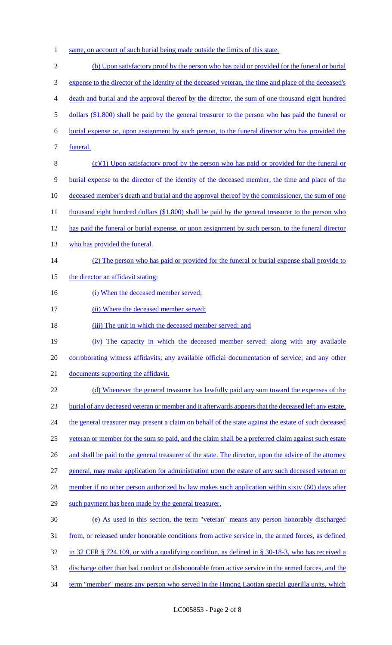1 same, on account of such burial being made outside the limits of this state.

2 (b) Upon satisfactory proof by the person who has paid or provided for the funeral or burial 3 expense to the director of the identity of the deceased veteran, the time and place of the deceased's 4 death and burial and the approval thereof by the director, the sum of one thousand eight hundred 5 dollars (\$1,800) shall be paid by the general treasurer to the person who has paid the funeral or 6 burial expense or, upon assignment by such person, to the funeral director who has provided the 7 funeral. 8 (c)(1) Upon satisfactory proof by the person who has paid or provided for the funeral or 9 burial expense to the director of the identity of the deceased member, the time and place of the 10 deceased member's death and burial and the approval thereof by the commissioner, the sum of one 11 thousand eight hundred dollars (\$1,800) shall be paid by the general treasurer to the person who 12 has paid the funeral or burial expense, or upon assignment by such person, to the funeral director 13 who has provided the funeral. 14 (2) The person who has paid or provided for the funeral or burial expense shall provide to 15 the director an affidavit stating: 16 (i) When the deceased member served; 17 (ii) Where the deceased member served; 18 (iii) The unit in which the deceased member served; and 19 (iv) The capacity in which the deceased member served; along with any available 20 corroborating witness affidavits; any available official documentation of service; and any other 21 documents supporting the affidavit. 22 (d) Whenever the general treasurer has lawfully paid any sum toward the expenses of the 23 burial of any deceased veteran or member and it afterwards appears that the deceased left any estate, 24 the general treasurer may present a claim on behalf of the state against the estate of such deceased 25 veteran or member for the sum so paid, and the claim shall be a preferred claim against such estate 26 and shall be paid to the general treasurer of the state. The director, upon the advice of the attorney 27 general, may make application for administration upon the estate of any such deceased veteran or 28 member if no other person authorized by law makes such application within sixty (60) days after 29 such payment has been made by the general treasurer. 30 (e) As used in this section, the term "veteran" means any person honorably discharged 31 from, or released under honorable conditions from active service in, the armed forces, as defined 32 in 32 CFR § 724.109, or with a qualifying condition, as defined in § 30-18-3, who has received a 33 discharge other than bad conduct or dishonorable from active service in the armed forces, and the 34 term "member" means any person who served in the Hmong Laotian special guerilla units, which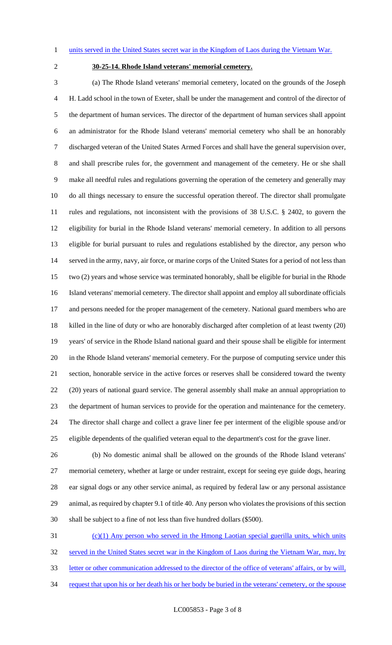#### 1 units served in the United States secret war in the Kingdom of Laos during the Vietnam War.

# **30-25-14. Rhode Island veterans' memorial cemetery.**

 (a) The Rhode Island veterans' memorial cemetery, located on the grounds of the Joseph H. Ladd school in the town of Exeter, shall be under the management and control of the director of the department of human services. The director of the department of human services shall appoint an administrator for the Rhode Island veterans' memorial cemetery who shall be an honorably discharged veteran of the United States Armed Forces and shall have the general supervision over, and shall prescribe rules for, the government and management of the cemetery. He or she shall make all needful rules and regulations governing the operation of the cemetery and generally may do all things necessary to ensure the successful operation thereof. The director shall promulgate rules and regulations, not inconsistent with the provisions of 38 U.S.C. § 2402, to govern the eligibility for burial in the Rhode Island veterans' memorial cemetery. In addition to all persons eligible for burial pursuant to rules and regulations established by the director, any person who served in the army, navy, air force, or marine corps of the United States for a period of not less than two (2) years and whose service was terminated honorably, shall be eligible for burial in the Rhode Island veterans' memorial cemetery. The director shall appoint and employ all subordinate officials 17 and persons needed for the proper management of the cemetery. National guard members who are killed in the line of duty or who are honorably discharged after completion of at least twenty (20) years' of service in the Rhode Island national guard and their spouse shall be eligible for interment in the Rhode Island veterans' memorial cemetery. For the purpose of computing service under this section, honorable service in the active forces or reserves shall be considered toward the twenty (20) years of national guard service. The general assembly shall make an annual appropriation to the department of human services to provide for the operation and maintenance for the cemetery. The director shall charge and collect a grave liner fee per interment of the eligible spouse and/or eligible dependents of the qualified veteran equal to the department's cost for the grave liner.

 (b) No domestic animal shall be allowed on the grounds of the Rhode Island veterans' memorial cemetery, whether at large or under restraint, except for seeing eye guide dogs, hearing ear signal dogs or any other service animal, as required by federal law or any personal assistance animal, as required by chapter 9.1 of title 40. Any person who violates the provisions of this section shall be subject to a fine of not less than five hundred dollars (\$500).

 (c)(1) Any person who served in the Hmong Laotian special guerilla units, which units 32 served in the United States secret war in the Kingdom of Laos during the Vietnam War, may, by letter or other communication addressed to the director of the office of veterans' affairs, or by will, 34 request that upon his or her death his or her body be buried in the veterans' cemetery, or the spouse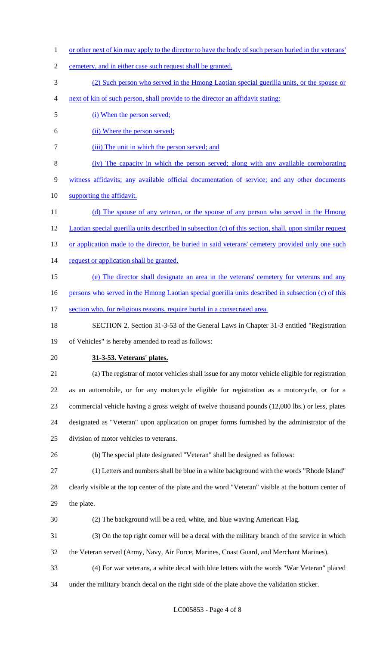- 1 or other next of kin may apply to the director to have the body of such person buried in the veterans'
- cemetery, and in either case such request shall be granted.
- (2) Such person who served in the Hmong Laotian special guerilla units, or the spouse or
- next of kin of such person, shall provide to the director an affidavit stating:
- 5 (i) When the person served;
- (ii) Where the person served;
- (iii) The unit in which the person served; and
- (iv) The capacity in which the person served; along with any available corroborating witness affidavits; any available official documentation of service; and any other documents
- 10 supporting the affidavit.
- 11 (d) The spouse of any veteran, or the spouse of any person who served in the Hmong Laotian special guerilla units described in subsection (c) of this section, shall, upon similar request 13 or application made to the director, be buried in said veterans' cemetery provided only one such 14 request or application shall be granted.
- (e) The director shall designate an area in the veterans' cemetery for veterans and any
- 16 persons who served in the Hmong Laotian special guerilla units described in subsection (c) of this
- 17 section who, for religious reasons, require burial in a consecrated area.
- SECTION 2. Section 31-3-53 of the General Laws in Chapter 31-3 entitled "Registration

of Vehicles" is hereby amended to read as follows:

- **31-3-53. Veterans' plates.**
- (a) The registrar of motor vehicles shall issue for any motor vehicle eligible for registration as an automobile, or for any motorcycle eligible for registration as a motorcycle, or for a commercial vehicle having a gross weight of twelve thousand pounds (12,000 lbs.) or less, plates designated as "Veteran" upon application on proper forms furnished by the administrator of the division of motor vehicles to veterans.
- (b) The special plate designated "Veteran" shall be designed as follows:
- (1) Letters and numbers shall be blue in a white background with the words "Rhode Island" clearly visible at the top center of the plate and the word "Veteran" visible at the bottom center of the plate.
- (2) The background will be a red, white, and blue waving American Flag.
- (3) On the top right corner will be a decal with the military branch of the service in which
- the Veteran served (Army, Navy, Air Force, Marines, Coast Guard, and Merchant Marines).
- (4) For war veterans, a white decal with blue letters with the words "War Veteran" placed
- under the military branch decal on the right side of the plate above the validation sticker.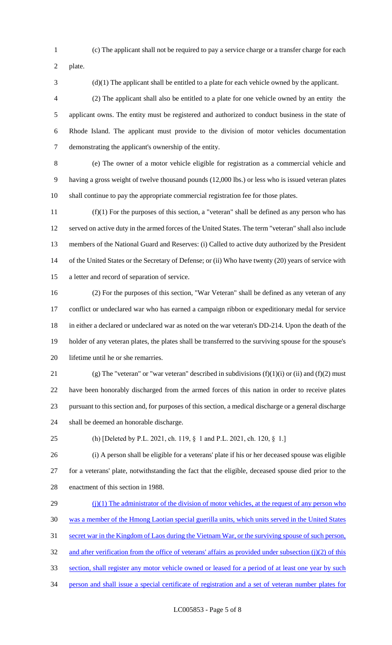(c) The applicant shall not be required to pay a service charge or a transfer charge for each

plate.

(d)(1) The applicant shall be entitled to a plate for each vehicle owned by the applicant.

 (2) The applicant shall also be entitled to a plate for one vehicle owned by an entity the applicant owns. The entity must be registered and authorized to conduct business in the state of Rhode Island. The applicant must provide to the division of motor vehicles documentation demonstrating the applicant's ownership of the entity.

 (e) The owner of a motor vehicle eligible for registration as a commercial vehicle and having a gross weight of twelve thousand pounds (12,000 lbs.) or less who is issued veteran plates shall continue to pay the appropriate commercial registration fee for those plates.

 (f)(1) For the purposes of this section, a "veteran" shall be defined as any person who has served on active duty in the armed forces of the United States. The term "veteran" shall also include members of the National Guard and Reserves: (i) Called to active duty authorized by the President 14 of the United States or the Secretary of Defense; or (ii) Who have twenty (20) years of service with a letter and record of separation of service.

 (2) For the purposes of this section, "War Veteran" shall be defined as any veteran of any conflict or undeclared war who has earned a campaign ribbon or expeditionary medal for service in either a declared or undeclared war as noted on the war veteran's DD-214. Upon the death of the holder of any veteran plates, the plates shall be transferred to the surviving spouse for the spouse's lifetime until he or she remarries.

21 (g) The "veteran" or "war veteran" described in subdivisions  $(f)(1)(i)$  or (ii) and  $(f)(2)$  must have been honorably discharged from the armed forces of this nation in order to receive plates pursuant to this section and, for purposes of this section, a medical discharge or a general discharge shall be deemed an honorable discharge.

(h) [Deleted by P.L. 2021, ch. 119, §  1 and P.L. 2021, ch. 120, §  1.]

 (i) A person shall be eligible for a veterans' plate if his or her deceased spouse was eligible for a veterans' plate, notwithstanding the fact that the eligible, deceased spouse died prior to the enactment of this section in 1988.

 $(1)(1)$  The administrator of the division of motor vehicles, at the request of any person who was a member of the Hmong Laotian special guerilla units, which units served in the United States 31 secret war in the Kingdom of Laos during the Vietnam War, or the surviving spouse of such person, 32 and after verification from the office of veterans' affairs as provided under subsection (j)(2) of this section, shall register any motor vehicle owned or leased for a period of at least one year by such person and shall issue a special certificate of registration and a set of veteran number plates for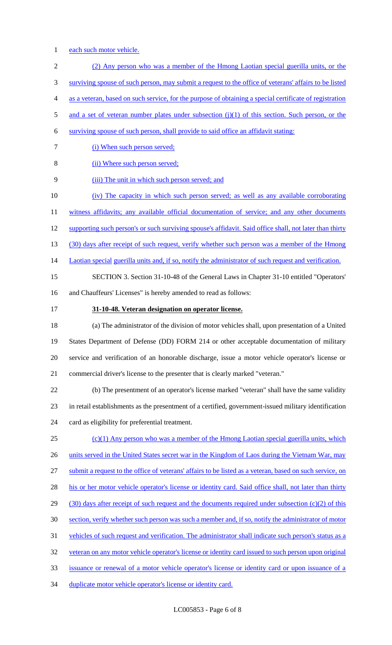- 1 each such motor vehicle.
- (2) Any person who was a member of the Hmong Laotian special guerilla units, or the surviving spouse of such person, may submit a request to the office of veterans' affairs to be listed as a veteran, based on such service, for the purpose of obtaining a special certificate of registration
- 5 and a set of veteran number plates under subsection (j)(1) of this section. Such person, or the
- surviving spouse of such person, shall provide to said office an affidavit stating:
- 7 (i) When such person served;
- (ii) Where such person served;
- (iii) The unit in which such person served; and
- (iv) The capacity in which such person served; as well as any available corroborating

11 witness affidavits; any available official documentation of service; and any other documents

- 12 supporting such person's or such surviving spouse's affidavit. Said office shall, not later than thirty
- 13 (30) days after receipt of such request, verify whether such person was a member of the Hmong
- 14 Laotian special guerilla units and, if so, notify the administrator of such request and verification.
- SECTION 3. Section 31-10-48 of the General Laws in Chapter 31-10 entitled "Operators'
- and Chauffeurs' Licenses" is hereby amended to read as follows:
- 

## **31-10-48. Veteran designation on operator license.**

 (a) The administrator of the division of motor vehicles shall, upon presentation of a United States Department of Defense (DD) FORM 214 or other acceptable documentation of military service and verification of an honorable discharge, issue a motor vehicle operator's license or commercial driver's license to the presenter that is clearly marked "veteran."

 (b) The presentment of an operator's license marked "veteran" shall have the same validity in retail establishments as the presentment of a certified, government-issued military identification card as eligibility for preferential treatment.

 (c)(1) Any person who was a member of the Hmong Laotian special guerilla units, which 26 units served in the United States secret war in the Kingdom of Laos during the Vietnam War, may submit a request to the office of veterans' affairs to be listed as a veteran, based on such service, on 28 his or her motor vehicle operator's license or identity card. Said office shall, not later than thirty 29 (30) days after receipt of such request and the documents required under subsection (c)(2) of this section, verify whether such person was such a member and, if so, notify the administrator of motor vehicles of such request and verification. The administrator shall indicate such person's status as a veteran on any motor vehicle operator's license or identity card issued to such person upon original issuance or renewal of a motor vehicle operator's license or identity card or upon issuance of a

duplicate motor vehicle operator's license or identity card.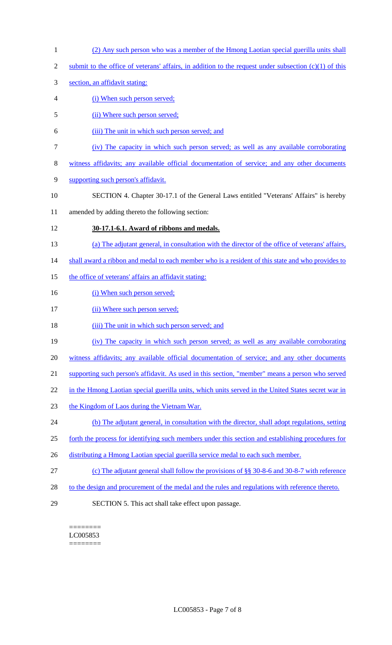- 1 (2) Any such person who was a member of the Hmong Laotian special guerilla units shall
- 2 submit to the office of veterans' affairs, in addition to the request under subsection  $(c)(1)$  of this
- 3 section, an affidavit stating:
- 4 (i) When such person served;
- 5 (ii) Where such person served;
- 6 (iii) The unit in which such person served; and
- 7 (iv) The capacity in which such person served; as well as any available corroborating
- 8 witness affidavits; any available official documentation of service; and any other documents
- 9 supporting such person's affidavit.
- 10 SECTION 4. Chapter 30-17.1 of the General Laws entitled "Veterans' Affairs" is hereby
- 11 amended by adding thereto the following section:

## 12 **30-17.1-6.1. Award of ribbons and medals.**

- 13 (a) The adjutant general, in consultation with the director of the office of veterans' affairs,
- 14 shall award a ribbon and medal to each member who is a resident of this state and who provides to
- 15 the office of veterans' affairs an affidavit stating:
- 16 (i) When such person served;
- 17 (ii) Where such person served;
- 18 (iii) The unit in which such person served; and
- 19 (iv) The capacity in which such person served; as well as any available corroborating
- 20 witness affidavits; any available official documentation of service; and any other documents
- 21 supporting such person's affidavit. As used in this section, "member" means a person who served
- 22 in the Hmong Laotian special guerilla units, which units served in the United States secret war in
- 23 the Kingdom of Laos during the Vietnam War.
- 24 (b) The adjutant general, in consultation with the director, shall adopt regulations, setting
- 25 forth the process for identifying such members under this section and establishing procedures for
- 26 distributing a Hmong Laotian special guerilla service medal to each such member.
- 27 (c) The adjutant general shall follow the provisions of §§ 30-8-6 and 30-8-7 with reference
- 28 to the design and procurement of the medal and the rules and regulations with reference thereto.
- 29 SECTION 5. This act shall take effect upon passage.

======== LC005853 ========